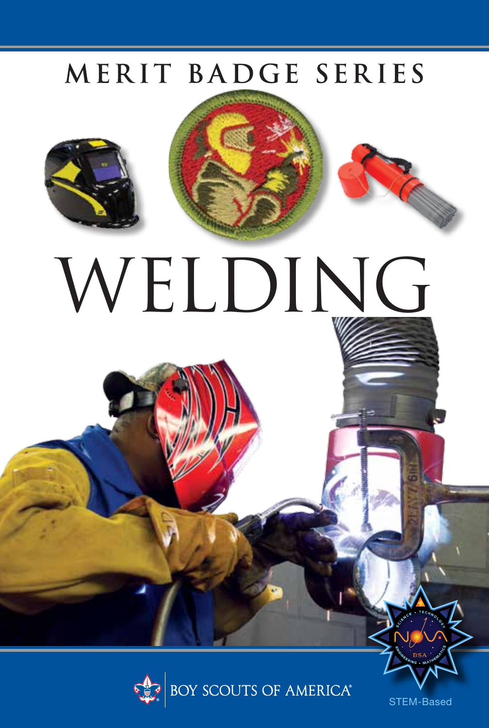### MERIT BADGE SERIES

WELDING



STEM-Based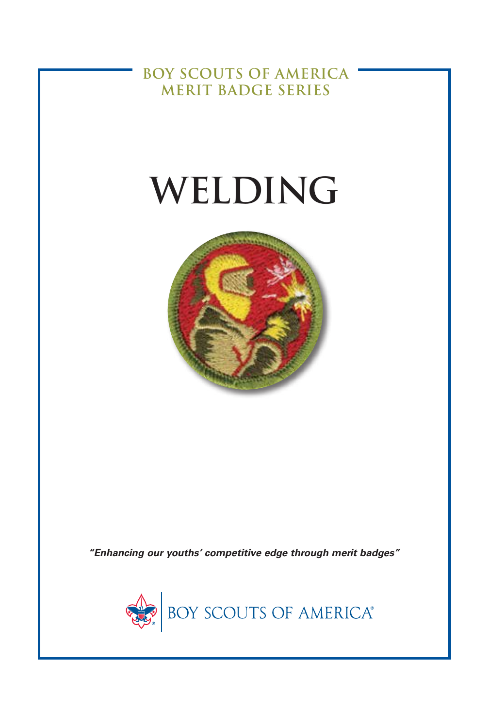**BOY SCOUTS OF AMERICA MERIT BADGE SERIES**

# **WELDING**



*"Enhancing our youths' competitive edge through merit badges"*

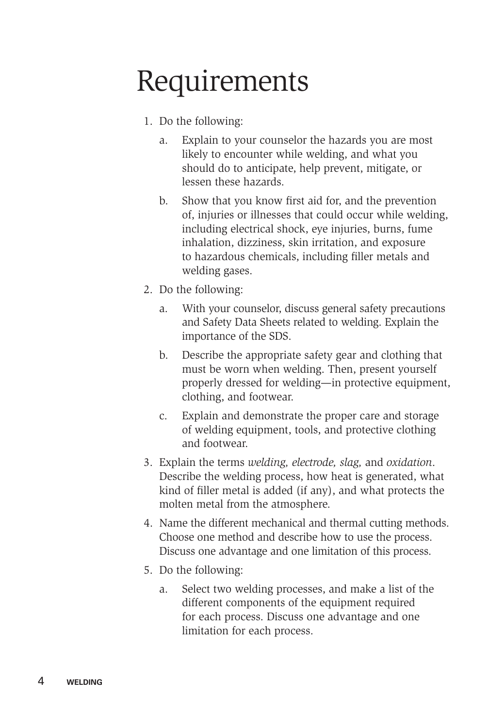### Requirements

- 1. Do the following:
	- a. Explain to your counselor the hazards you are most likely to encounter while welding, and what you should do to anticipate, help prevent, mitigate, or lessen these hazards.
	- b. Show that you know first aid for, and the prevention of, injuries or illnesses that could occur while welding, including electrical shock, eye injuries, burns, fume inhalation, dizziness, skin irritation, and exposure to hazardous chemicals, including filler metals and welding gases.
- 2. Do the following:
	- a. With your counselor, discuss general safety precautions and Safety Data Sheets related to welding. Explain the importance of the SDS.
	- b. Describe the appropriate safety gear and clothing that must be worn when welding. Then, present yourself properly dressed for welding—in protective equipment, clothing, and footwear.
	- c. Explain and demonstrate the proper care and storage of welding equipment, tools, and protective clothing and footwear.
- 3. Explain the terms *welding, electrode, slag,* and *oxidation*. Describe the welding process, how heat is generated, what kind of filler metal is added (if any), and what protects the molten metal from the atmosphere.
- 4. Name the different mechanical and thermal cutting methods. Choose one method and describe how to use the process. Discuss one advantage and one limitation of this process.
- 5. Do the following:
	- a. Select two welding processes, and make a list of the different components of the equipment required for each process. Discuss one advantage and one limitation for each process.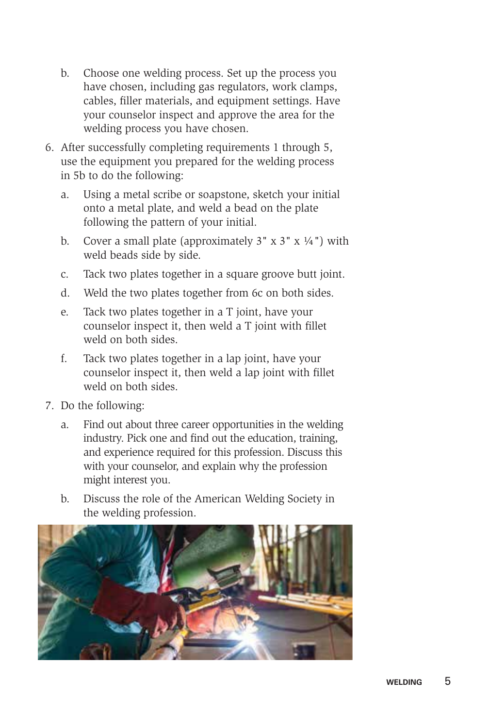- b. Choose one welding process. Set up the process you have chosen, including gas regulators, work clamps, cables, filler materials, and equipment settings. Have your counselor inspect and approve the area for the welding process you have chosen.
- 6. After successfully completing requirements 1 through 5, use the equipment you prepared for the welding process in 5b to do the following:
	- a. Using a metal scribe or soapstone, sketch your initial onto a metal plate, and weld a bead on the plate following the pattern of your initial.
	- b. Cover a small plate (approximately  $3'' \times 3'' \times \frac{1}{4}$ ) with weld beads side by side.
	- c. Tack two plates together in a square groove butt joint.
	- d. Weld the two plates together from 6c on both sides.
	- e. Tack two plates together in a T joint, have your counselor inspect it, then weld a T joint with fillet weld on both sides.
	- f. Tack two plates together in a lap joint, have your counselor inspect it, then weld a lap joint with fillet weld on both sides.
- 7. Do the following:
	- a. Find out about three career opportunities in the welding industry. Pick one and find out the education, training, and experience required for this profession. Discuss this with your counselor, and explain why the profession might interest you.
	- b. Discuss the role of the American Welding Society in the welding profession.